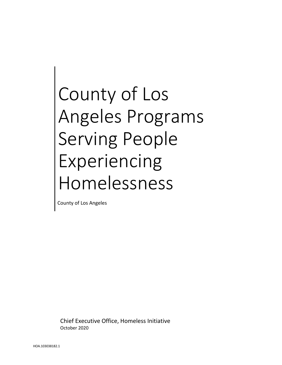# County of Los Angeles Programs Serving People Experiencing Homelessness

County of Los Angeles

Chief Executive Office, Homeless Initiative October 2020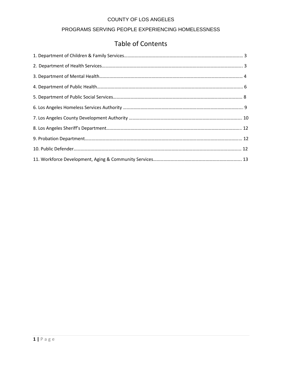# PROGRAMS SERVING PEOPLE EXPERIENCING HOMELESSNESS

# Table of Contents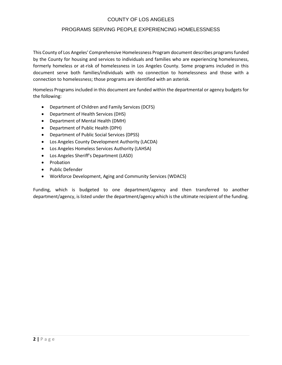#### PROGRAMS SERVING PEOPLE EXPERIENCING HOMELESSNESS

This County of Los Angeles' Comprehensive Homelessness Program document describes programs funded by the County for housing and services to individuals and families who are experiencing homelessness, formerly homeless or at-risk of homelessness in Los Angeles County. Some programs included in this document serve both families/individuals with no connection to homelessness and those with a connection to homelessness; those programs are identified with an asterisk.

Homeless Programs included in this document are funded within the departmental or agency budgets for the following:

- Department of Children and Family Services (DCFS)
- Department of Health Services (DHS)
- Department of Mental Health (DMH)
- Department of Public Health (DPH)
- Department of Public Social Services (DPSS)
- Los Angeles County Development Authority (LACDA)
- Los Angeles Homeless Services Authority (LAHSA)
- Los Angeles Sheriff's Department (LASD)
- Probation
- Public Defender
- Workforce Development, Aging and Community Services (WDACS)

Funding, which is budgeted to one department/agency and then transferred to another department/agency, is listed under the department/agency which is the ultimate recipient of the funding.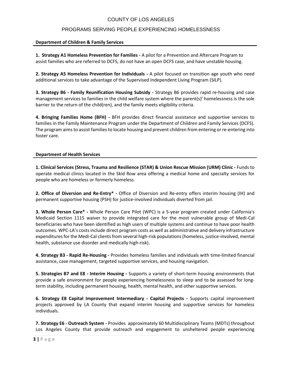# PROGRAMS SERVING PEOPLE EXPERIENCING HOMELESSNESS

#### **Department of Children & Family Services**

**1. Strategy A1 Homeless Prevention for Families -** A pilot for a Prevention and Aftercare Program to assist families who are referred to DCFS, do not have an open DCFS case, and have unstable housing.

**2. Strategy A5 Homeless Prevention for Individuals -** A pilot focused on transition age youth who need additional services to take advantage of the Supervised Independent Living Program (SILP).

**3. Strategy B6 - Family Reunification Housing Subsidy -** Strategy B6 provides rapid re-housing and case management services to families in the child welfare system where the parent(s)' homelessness is the sole barrier to the return of the child(ren), and the family meets eligibility criteria.

**4. Bringing Families Home (BFH) -** BFH provides direct financial assistance and supportive services to families in the Family Maintenance Program under the Department of Children and Family Services (DCFS). The program aims to assist families to locate housing and prevent children from entering or re-entering into foster care.

#### **Department of Health Services**

**1. Clinical Services (Stress, Trauma and Resilience (STAR) & Union Rescue Mission (URM) Clinic -** Funds to operate medical clinics located in the Skid Row area offering a medical home and specialty services for people who are homeless or formerly homeless.

**2. Office of Diversion and Re-Entry\* -** Office of Diversion and Re-entry offers interim housing (IH) and permanent supportive housing (PSH) for justice-involved individuals diverted from jail.

**3. Whole Person Care\* -** Whole Person Care Pilot (WPC) is a 5-year program created under California's Medicaid Section 1115 waiver to provide integrated care for the most vulnerable group of Medi-Cal beneficiaries who have been identified as high users of multiple systems and continue to have poor health outcomes. WPC-LA's costs include direct program costs as well as administrative and delivery infrastructure expenditures for the Medi-Cal clients from several high-risk populations (homeless, justice-involved, mental health, substance use disorder and medically high-risk).

**4. Strategy B3 - Rapid Re-Housing -** Provides homeless families and individuals with time-limited financial assistance, case management, targeted supportive services, and housing navigation.

**5. Strategies B7 and E8 - Interim Housing -** Supports a variety of short-term housing environments that provide a safe environment for people experiencing homelessness to sleep and to be assessed for longterm stability, including permanent housing, health, mental health, and other supportive services.

**6. Strategy E8 Capital Improvement Intermediary - Capital Projects -** Supports capital improvement projects approved by LA County that expand interim housing and supportive services for homeless individuals.

**7. Strategy E6 - Outreach System -** Provides approximately 60 Multidisciplinary Teams (MDTs) throughout Los Angeles County that provide outreach and engagement to unsheltered people experiencing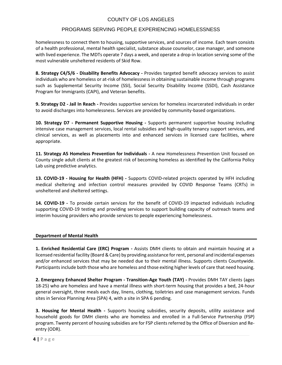#### PROGRAMS SERVING PEOPLE EXPERIENCING HOMELESSNESS

homelessness to connect them to housing, supportive services, and sources of income. Each team consists of a health professional, mental health specialist, substance abuse counselor, case manager, and someone with lived experience. The MDTs operate 7 days a week, and operate a drop-in location serving some of the most vulnerable unsheltered residents of Skid Row.

**8. Strategy C4/5/6 - Disability Benefits Advocacy -** Provides targeted benefit advocacy services to assist individuals who are homeless or at-risk of homelessness in obtaining sustainable income through programs such as Supplemental Security Income (SSI), Social Security Disability Income (SSDI), Cash Assistance Program for Immigrants (CAPI), and Veteran benefits.

**9. Strategy D2 - Jail In Reach -** Provides supportive services for homeless incarcerated individuals in order to avoid discharges into homelessness. Services are provided by community-based organizations.

**10. Strategy D7 - Permanent Supportive Housing -** Supports permanent supportive housing including intensive case management services, local rental subsidies and high-quality tenancy support services, and clinical services, as well as placements into and enhanced services in licensed care facilities, where appropriate.

**11. Strategy A5 Homeless Prevention for Individuals -** A new Homelessness Prevention Unit focused on County single adult clients at the greatest risk of becoming homeless as identified by the California Policy Lab using predictive analytics.

**13. COVID-19 - Housing for Health (HFH) -** Supports COVID-related projects operated by HFH including medical sheltering and infection control measures provided by COVID Response Teams (CRTs) in unsheltered and sheltered settings.

**14. COVID-19 -** To provide certain services for the benefit of COVID-19 impacted individuals including supporting COVID-19 testing and providing services to support building capacity of outreach teams and interim housing providers who provide services to people experiencing homelessness.

#### **Department of Mental Health**

**1. Enriched Residential Care (ERC) Program -** Assists DMH clients to obtain and maintain housing at a licensed residential facility (Board & Care) by providing assistance for rent, personal and incidental expenses and/or enhanced services that may be needed due to their mental illness. Supports clients Countywide. Participants include both those who are homeless and those exiting higher levels of care that need housing.

**2. Emergency Enhanced Shelter Program - Transition-Age Youth (TAY) -** Provides DMH TAY clients (ages 18-25) who are homeless and have a mental illness with short-term housing that provides a bed, 24-hour general oversight, three meals each day, linens, clothing, toiletries and case management services. Funds sites in Service Planning Area (SPA) 4, with a site in SPA 6 pending.

**3. Housing for Mental Health -** Supports housing subsidies, security deposits, utility assistance and household goods for DMH clients who are homeless and enrolled in a Full-Service Partnership (FSP) program. Twenty percent of housing subsidies are for FSP clients referred by the Office of Diversion and Reentry (ODR).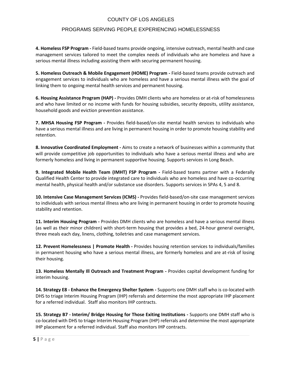#### PROGRAMS SERVING PEOPLE EXPERIENCING HOMELESSNESS

**4. Homeless FSP Program -** Field-based teams provide ongoing, intensive outreach, mental health and case management services tailored to meet the complex needs of individuals who are homeless and have a serious mental illness including assisting them with securing permanent housing.

**5. Homeless Outreach & Mobile Engagement (HOME) Program -** Field-based teams provide outreach and engagement services to individuals who are homeless and have a serious mental illness with the goal of linking them to ongoing mental health services and permanent housing.

**6. Housing Assistance Program (HAP) -** Provides DMH clients who are homeless or at-risk of homelessness and who have limited or no income with funds for housing subsidies, security deposits, utility assistance, household goods and eviction prevention assistance.

**7. MHSA Housing FSP Program -** Provides field-based/on-site mental health services to individuals who have a serious mental illness and are living in permanent housing in order to promote housing stability and retention.

**8. Innovative Coordinated Employment -** Aims to create a network of businesses within a community that will provide competitive job opportunities to individuals who have a serious mental illness and who are formerly homeless and living in permanent supportive housing. Supports services in Long Beach.

**9. Integrated Mobile Health Team (IMHT) FSP Program -** Field-based teams partner with a Federally Qualified Health Center to provide integrated care to individuals who are homeless and have co-occurring mental health, physical health and/or substance use disorders. Supports services in SPAs 4, 5 and 8.

**10. Intensive Case Management Services (ICMS) -** Provides field-based/on-site case management services to individuals with serious mental illness who are living in permanent housing in order to promote housing stability and retention.

**11. Interim Housing Program -** Provides DMH clients who are homeless and have a serious mental illness (as well as their minor children) with short-term housing that provides a bed, 24-hour general oversight, three meals each day, linens, clothing, toiletries and case management services.

**12. Prevent Homelessness | Promote Health -** Provides housing retention services to individuals/families in permanent housing who have a serious mental illness, are formerly homeless and are at-risk of losing their housing.

**13. Homeless Mentally Ill Outreach and Treatment Program -** Provides capital development funding for interim housing.

**14. Strategy E8 - Enhance the Emergency Shelter System -** Supports one DMH staff who is co-located with DHS to triage Interim Housing Program (IHP) referrals and determine the most appropriate IHP placement for a referred individual. Staff also monitors IHP contracts.

**15. Strategy B7 - Interim/ Bridge Housing for Those Exiting Institutions -** Supports one DMH staff who is co-located with DHS to triage Interim Housing Program (IHP) referrals and determine the most appropriate IHP placement for a referred individual. Staff also monitors IHP contracts.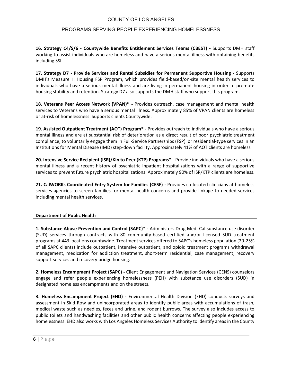#### PROGRAMS SERVING PEOPLE EXPERIENCING HOMELESSNESS

**16. Strategy C4/5/6 - Countywide Benefits Entitlement Services Teams (CBEST) -** Supports DMH staff working to assist individuals who are homeless and have a serious mental illness with obtaining benefits including SSI.

**17. Strategy D7 - Provide Services and Rental Subsidies for Permanent Supportive Housing -** Supports DMH's Measure H Housing FSP Program, which provides field-based/on-site mental health services to individuals who have a serious mental illness and are living in permanent housing in order to promote housing stability and retention. Strategy D7 also supports the DMH staff who support this program.

**18. Veterans Peer Access Network (VPAN)\* -** Provides outreach, case management and mental health services to Veterans who have a serious mental illness. Approximately 85% of VPAN clients are homeless or at-risk of homelessness. Supports clients Countywide.

**19. Assisted Outpatient Treatment (AOT) Program\* -** Provides outreach to individuals who have a serious mental illness and are at substantial risk of deterioration as a direct result of poor psychiatric treatment compliance, to voluntarily engage them in Full-Service Partnerships (FSP) or residential-type services in an Institutions for Mental Disease (IMD) step-down facility. Approximately 41% of AOT clients are homeless.

**20. Intensive Service Recipient (ISR)/Kin to Peer (KTP) Programs\* -** Provide individuals who have a serious mental illness and a recent history of psychiatric inpatient hospitalizations with a range of supportive services to prevent future psychiatric hospitalizations. Approximately 90% of ISR/KTP clients are homeless.

**21. CalWORKs Coordinated Entry System for Families (CESF) -** Provides co-located clinicians at homeless services agencies to screen families for mental health concerns and provide linkage to needed services including mental health services.

#### **Department of Public Health**

**1. Substance Abuse Prevention and Control (SAPC)\* -** Administers Drug Medi-Cal substance use disorder (SUD) services through contracts with 80 community-based certified and/or licensed SUD treatment programs at 443 locations countywide. Treatment services offered to SAPC's homeless population (20-25% of all SAPC clients) include outpatient, intensive outpatient, and opioid treatment programs withdrawal management, medication for addiction treatment, short-term residential, case management, recovery support services and recovery bridge housing.

**2. Homeless Encampment Project (SAPC) -** Client Engagement and Navigation Services (CENS) counselors engage and refer people experiencing homelessness (PEH) with substance use disorders (SUD) in designated homeless encampments and on the streets.

**3. Homeless Encampment Project (EHD) -** Environmental Health Division (EHD) conducts surveys and assessment in Skid Row and unincorporated areas to identify public areas with accumulations of trash, medical waste such as needles, feces and urine, and rodent burrows. The survey also includes access to public toilets and handwashing facilities and other public health concerns affecting people experiencing homelessness. EHD also works with Los Angeles Homeless Services Authority to identify areas in the County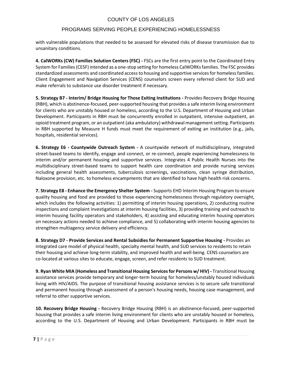#### PROGRAMS SERVING PEOPLE EXPERIENCING HOMELESSNESS

with vulnerable populations that needed to be assessed for elevated risks of disease transmission due to unsanitary conditions.

**4. CalWORKs (CW) Families Solution Centers (FSC) -** FSCs are the first entry point to the Coordinated Entry System for Families (CESF) intended as a one-stop setting for homeless CalWORKs families. The FSC provides standardized assessments and coordinated access to housing and supportive services for homeless families. Client Engagement and Navigation Services (CENS) counselors screen every referred client for SUD and make referrals to substance use disorder treatment if necessary.

**5. Strategy B7 - Interim/ Bridge Housing for Those Exiting Institutions -** Provides Recovery Bridge Housing (RBH), which is abstinence-focused, peer-supported housing that provides a safe interim living environment for clients who are unstably housed or homeless, according to the U.S. Department of Housing and Urban Development. Participants in RBH must be concurrently enrolled in outpatient, intensive outpatient, an opioid treatment program, or an outpatient (aka ambulatory) withdrawal management setting. Participants in RBH supported by Measure H funds must meet the requirement of exiting an institution (e.g., jails, hospitals, residential services).

**6. Strategy E6 - Countywide Outreach System -** A countywide network of multidisciplinary, integrated street-based teams to identify, engage and connect, or re-connect, people experiencing homelessness to interim and/or permanent housing and supportive services. Integrates 4 Public Health Nurses into the multidisciplinary street-based teams to support health care coordination and provide nursing services including general health assessments, tuberculosis screenings, vaccinations, clean syringe distribution, Naloxone provision, etc. to homeless encampments that are identified to have high health risk concerns.

**7. Strategy E8 - Enhance the Emergency Shelter System -** Supports EHD Interim Housing Program to ensure quality housing and food are provided to those experiencing homelessness through regulatory oversight, which includes the following activities: 1) permitting of interim housing operations, 2) conducting routine inspections and complaint investigations at interim housing facilities, 3) providing training and outreach to interim housing facility operators and stakeholders, 4) assisting and educating interim housing operators on necessary actions needed to achieve compliance, and 5) collaborating with interim housing agencies to strengthen multiagency service delivery and efficiency.

**8. Strategy D7 - Provide Services and Rental Subsidies for Permanent Supportive Housing -** Provides an integrated care model of physical health, specialty mental health, and SUD services to residents to retain their housing and achieve long-term stability, and improved health and well-being. CENS counselors are co-located at various sites to educate, engage, screen, and refer residents to SUD treatment.

**9. Ryan White MIA (Homeless and Transitional Housing Services for Persons w/ HIV) -** Transitional Housing assistance services provide temporary and longer-term housing for homeless/unstably housed individuals living with HIV/AIDS. The purpose of transitional housing assistance services is to secure safe transitional and permanent housing through assessment of a person's housing needs, housing case management, and referral to other supportive services.

**10. Recovery Bridge Housing -** Recovery Bridge Housing (RBH) is an abstinence-focused, peer-supported housing that provides a safe interim living environment for clients who are unstably housed or homeless, according to the U.S. Department of Housing and Urban Development. Participants in RBH must be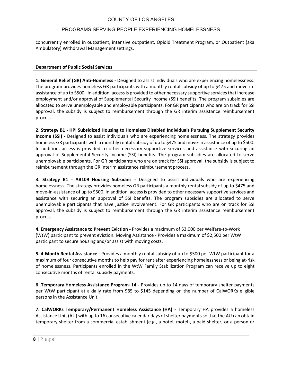#### PROGRAMS SERVING PEOPLE EXPERIENCING HOMELESSNESS

concurrently enrolled in outpatient, intensive outpatient, Opioid Treatment Program, or Outpatient (aka Ambulatory) Withdrawal Management settings.

#### **Department of Public Social Services**

**1. General Relief (GR) Anti-Homeless -** Designed to assist individuals who are experiencing homelessness. The program provides homeless GR participants with a monthly rental subsidy of up to \$475 and move-inassistance of up to \$500. In addition, access is provided to other necessary supportive services that increase employment and/or approval of Supplemental Security Income (SSI) benefits. The program subsidies are allocated to serve unemployable and employable participants. For GR participants who are on track for SSI approval, the subsidy is subject to reimbursement through the GR interim assistance reimbursement process.

**2. Strategy B1 - HPI Subsidized Housing to Homeless Disabled Individuals Pursuing Supplement Security Income (SSI) -** Designed to assist individuals who are experiencing homelessness. The strategy provides homeless GR participants with a monthly rental subsidy of up to \$475 and move-in assistance of up to \$500. In addition, access is provided to other necessary supportive services and assistance with securing an approval of Supplemental Security Income (SSI) benefits. The program subsidies are allocated to serve unemployable participants. For GR participants who are on track for SSI approval, the subsidy is subject to reimbursement through the GR interim assistance reimbursement process.

**3. Strategy B1 - AB109 Housing Subsidies -** Designed to assist individuals who are experiencing homelessness. The strategy provides homeless GR participants a monthly rental subsidy of up to \$475 and move-in-assistance of up to \$500. In addition, access is provided to other necessary supportive services and assistance with securing an approval of SSI benefits. The program subsidies are allocated to serve unemployable participants that have justice involvement. For GR participants who are on track for SSI approval, the subsidy is subject to reimbursement through the GR interim assistance reimbursement process.

**4. Emergency Assistance to Prevent Eviction -** Provides a maximum of \$3,000 per Welfare-to-Work (WtW) participant to prevent eviction. Moving Assistance - Provides a maximum of \$2,500 per WtW participant to secure housing and/or assist with moving costs.

**5. 4-Month Rental Assistance -** Provides a monthly rental subsidy of up to \$500 per WtW participant for a maximum of four consecutive months to help pay for rent after experiencing homelessness or being at-risk of homelessness. Participants enrolled in the WtW Family Stabilization Program can receive up to eight consecutive months of rental subsidy payments.

**6. Temporary Homeless Assistance Program+14 -** Provides up to 14 days of temporary shelter payments per WtW participant at a daily rate from \$85 to \$145 depending on the number of CalWORKs eligible persons in the Assistance Unit.

**7. CalWORKs Temporary/Permanent Homeless Assistance (HA) -** Temporary HA provides a homeless Assistance Unit (AU) with up to 16 consecutive calendar days of shelter payments so that the AU can obtain temporary shelter from a commercial establishment (e.g., a hotel, motel), a paid shelter, or a person or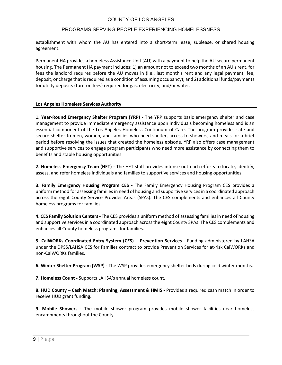#### PROGRAMS SERVING PEOPLE EXPERIENCING HOMELESSNESS

establishment with whom the AU has entered into a short-term lease, sublease, or shared housing agreement.

Permanent HA provides a homeless Assistance Unit (AU) with a payment to help the AU secure permanent housing. The Permanent HA payment includes: 1) an amount not to exceed two months of an AU's rent, for fees the landlord requires before the AU moves in (i.e., last month's rent and any legal payment, fee, deposit, or charge that is required as a condition of assuming occupancy); and 2) additional funds/payments for utility deposits (turn-on fees) required for gas, electricity, and/or water.

#### **Los Angeles Homeless Services Authority**

**1. Year-Round Emergency Shelter Program (YRP) -** The YRP supports basic emergency shelter and case management to provide immediate emergency assistance upon individuals becoming homeless and is an essential component of the Los Angeles Homeless Continuum of Care. The program provides safe and secure shelter to men, women, and families who need shelter, access to showers, and meals for a brief period before resolving the issues that created the homeless episode. YRP also offers case management and supportive services to engage program participants who need more assistance by connecting them to benefits and stable housing opportunities.

**2. Homeless Emergency Team (HET) -** The HET staff provides intense outreach efforts to locate, identify, assess, and refer homeless individuals and families to supportive services and housing opportunities.

**3. Family Emergency Housing Program CES -** The Family Emergency Housing Program CES provides a uniform method for assessing families in need of housing and supportive services in a coordinated approach across the eight County Service Provider Areas (SPAs). The CES complements and enhances all County homeless programs for families.

**4. CES Family Solution Centers -** The CES provides a uniform method of assessing families in need of housing and supportive services in a coordinated approach across the eight County SPAs. The CES complements and enhances all County homeless programs for families.

**5. CalWORKs Coordinated Entry System (CES) – Prevention Services -** Funding administered by LAHSA under the DPSS/LAHSA CES for Families contract to provide Prevention Services for at-risk CalWORKs and non-CalWORKs families.

**6. Winter Shelter Program (WSP) -** The WSP provides emergency shelter beds during cold winter months.

**7. Homeless Count -** Supports LAHSA's annual homeless count.

**8. HUD County – Cash Match: Planning, Assessment & HMIS -** Provides a required cash match in order to receive HUD grant funding.

**9. Mobile Showers -** The mobile shower program provides mobile shower facilities near homeless encampments throughout the County.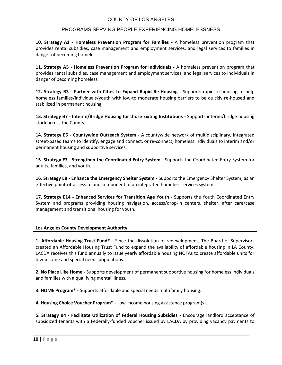#### PROGRAMS SERVING PEOPLE EXPERIENCING HOMELESSNESS

**10. Strategy A1 - Homeless Prevention Program for Families -** A homeless prevention program that provides rental subsidies, case management and employment services, and legal services to families in danger of becoming homeless.

**11. Strategy A5 - Homeless Prevention Program for Individuals -** A homeless prevention program that provides rental subsidies, case management and employment services, and legal services to individuals in danger of becoming homeless.

**12. Strategy B3 - Partner with Cities to Expand Rapid Re-Housing -** Supports rapid re-housing to help homeless families/individuals/youth with low-to moderate housing barriers to be quickly re-housed and stabilized in permanent housing.

**13. Strategy B7 - Interim/Bridge Housing for those Exiting Institutions -** Supports interim/bridge housing stock across the County.

**14. Strategy E6 - Countywide Outreach System -** A countywide network of multidisciplinary, integrated street-based teams to identify, engage and connect, or re-connect, homeless individuals to interim and/or permanent housing and supportive services.

**15. Strategy E7 - Strengthen the Coordinated Entry System -** Supports the Coordinated Entry System for adults, families, and youth.

**16. Strategy E8 - Enhance the Emergency Shelter System -** Supports the Emergency Shelter System, as an effective point-of-access to and component of an integrated homeless services system.

**17. Strategy E14 - Enhanced Services for Transition Age Youth -** Supports the Youth Coordinated Entry System and programs providing housing navigation, access/drop-in centers, shelter, after care/case management and transitional housing for youth.

#### **Los Angeles County Development Authority**

**1. Affordable Housing Trust Fund\* -** Since the dissolution of redevelopment, The Board of Supervisors created an Affordable Housing Trust Fund to expand the availability of affordable housing in LA County. LACDA receives this fund annually to issue yearly affordable housing NOFAs to create affordable units for low-income and special needs populations.

**2. No Place Like Home -** Supports development of permanent supportive housing for homeless individuals and families with a qualifying mental illness.

**3. HOME Program\* -** Supports affordable and special needs multifamily housing.

**4. Housing Choice Voucher Program\* -** Low-income housing assistance program(s).

**5. Strategy B4 - Facilitate Utilization of Federal Housing Subsidies -** Encourage landlord acceptance of subsidized tenants with a Federally-funded voucher issued by LACDA by providing vacancy payments to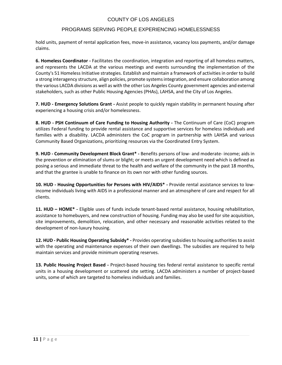# PROGRAMS SERVING PEOPLE EXPERIENCING HOMELESSNESS

hold units, payment of rental application fees, move-in assistance, vacancy loss payments, and/or damage claims.

**6. Homeless Coordinator -** Facilitates the coordination, integration and reporting of all homeless matters, and represents the LACDA at the various meetings and events surrounding the implementation of the County's 51 Homeless Initiative strategies. Establish and maintain a framework of activities in order to build a strong interagency structure, align policies, promote systems integration, and ensure collaboration among the various LACDA divisions as well as with the other Los Angeles County government agencies and external stakeholders, such as other Public Housing Agencies (PHAs), LAHSA, and the City of Los Angeles.

**7. HUD - Emergency Solutions Grant -** Assist people to quickly regain stability in permanent housing after experiencing a housing crisis and/or homelessness.

**8. HUD - PSH Continuum of Care Funding to Housing Authority -** The Continuum of Care (CoC) program utilizes Federal funding to provide rental assistance and supportive services for homeless individuals and families with a disability. LACDA administers the CoC program in partnership with LAHSA and various Community Based Organizations, prioritizing resources via the Coordinated Entry System.

**9. HUD - Community Development Block Grant\* -** Benefits persons of low- and moderate- income; aids in the prevention or elimination of slums or blight; or meets an urgent development need which is defined as posing a serious and immediate threat to the health and welfare of the community in the past 18 months, and that the grantee is unable to finance on its own nor with other funding sources.

**10. HUD - Housing Opportunities for Persons with HIV/AIDS\* -** Provide rental assistance services to lowincome individuals living with AIDS in a professional manner and an atmosphere of care and respect for all clients.

**11. HUD – HOME\* -** Eligible uses of funds include tenant-based rental assistance, housing rehabilitation, assistance to homebuyers, and new construction of housing. Funding may also be used for site acquisition, site improvements, demolition, relocation, and other necessary and reasonable activities related to the development of non-luxury housing.

**12. HUD - Public Housing Operating Subsidy\* -** Provides operating subsidies to housing authorities to assist with the operating and maintenance expenses of their own dwellings. The subsidies are required to help maintain services and provide minimum operating reserves.

**13. Public Housing Project Based -** Project-based housing ties federal rental assistance to specific rental units in a housing development or scattered site setting. LACDA administers a number of project-based units, some of which are targeted to homeless individuals and families.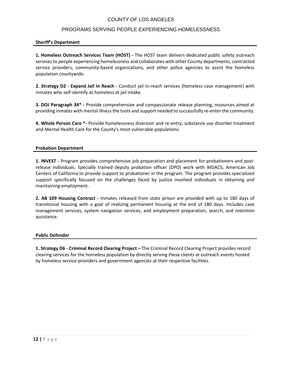#### PROGRAMS SERVING PEOPLE EXPERIENCING HOMELESSNESS

#### **Sheriff's Department**

**1. Homeless Outreach Services Team (HOST) -** The HOST team delivers dedicated public safety outreach services to people experiencing homelessness and collaborates with other County departments, contracted service providers, community-based organizations, and other police agencies to assist the homeless population countywide.

**2. Strategy D2 - Expand Jail In Reach -** Conduct jail in-reach services (homeless case management) with inmates who self-identify as homeless at jail intake.

**3. DOJ Paragraph 34\* -** Provide comprehensive and compassionate release planning, resources aimed at providing inmates with mental illness the tools and support needed to successfully re-enter the community.

**4. Whole Person Care \*-** Provide homelessness diversion and re-entry, substance use disorder treatment and Mental Health Care for the County's most vulnerable populations.

#### **Probation Department**

**1. INVEST -** Program provides comprehensive job preparation and placement for probationers and postrelease individuals. Specially trained deputy probation officer (DPO) work with WDACS, American Job Centers of California to provide support to probationer in the program. The program provides specialized support specifically focused on the challenges faced by justice involved individuals in obtaining and maintaining employment.

**2. AB 109 Housing Contract -** Inmates released from state prison are provided with up to 180 days of transitional housing with a goal of realizing permanent housing at the end of 180 days. Includes case management services, system navigation services, and employment preparation, search, and retention assistance.

#### **Public Defender**

**1. Strategy D6 - Criminal Record Clearing Project –** The Criminal Record Clearing Project provides record clearing services for the homeless population by directly serving these clients at outreach events hosted by homeless service providers and government agencies at their respective facilities.